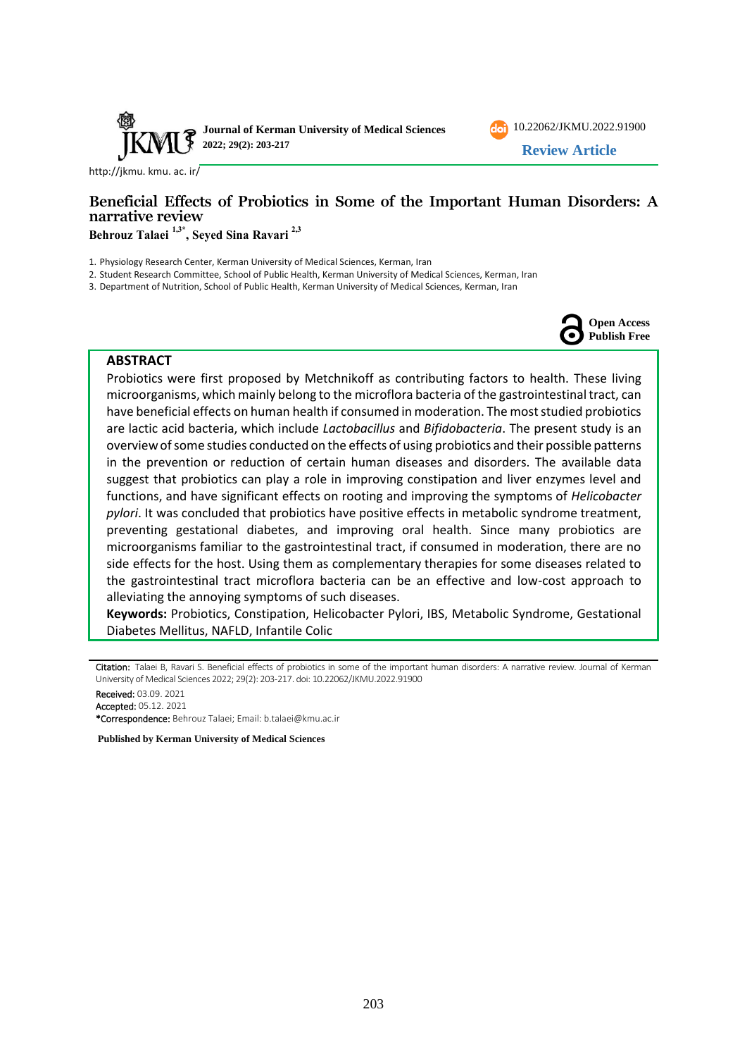



[http://jkmu. kmu. ac. ir/](http://jkmu.kmu.ac.ir/)

# **Beneficial Effects of Probiotics in Some of the Important Human Disorders: A narrative review**

**Behrouz Talaei 1,3\* , Seyed Sina Ravari 2,3**

1. Physiology Research Center, Kerman University of Medical Sciences, Kerman, Iran

2. Student Research Committee, School of Public Health, Kerman University of Medical Sciences, Kerman, Iran

3. Department of Nutrition, School of Public Health, Kerman University of Medical Sciences, Kerman, Iran



#### **ABSTRACT**

Probiotics were first proposed by Metchnikoff as contributing factors to health. These living microorganisms, which mainly belong to the microflora bacteria of the gastrointestinal tract, can have beneficial effects on human health if consumed in moderation. The most studied probiotics are lactic acid bacteria, which include *Lactobacillus* and *Bifidobacteria*. The present study is an overview of some studies conducted on the effects of using probiotics and their possible patterns in the prevention or reduction of certain human diseases and disorders. The available data suggest that probiotics can play a role in improving constipation and liver enzymes level and functions, and have significant effects on rooting and improving the symptoms of *Helicobacter pylori*. It was concluded that probiotics have positive effects in metabolic syndrome treatment, preventing gestational diabetes, and improving oral health. Since many probiotics are microorganisms familiar to the gastrointestinal tract, if consumed in moderation, there are no side effects for the host. Using them as complementary therapies for some diseases related to the gastrointestinal tract microflora bacteria can be an effective and low-cost approach to alleviating the annoying symptoms of such diseases.

**Keywords:** Probiotics, Constipation, Helicobacter Pylori, IBS, Metabolic Syndrome, Gestational Diabetes Mellitus, NAFLD, Infantile Colic

Citation: Talaei B, Ravari S. Beneficial effects of probiotics in some of the important human disorders: A narrative review. Journal of Kerman University of Medical Sciences 2022; 29(2): 203-217. doi: [10.22062/JKMU.2022.91900](https://dx.doi.org/10.22062/jkmu.2022.91900)

Received: 03.09. 2021 Accepted: 05.12. 2021 \*Correspondence: Behrouz Talaei; Email: [b.talaei@kmu.ac.ir](mailto:b.talaei@kmu.ac.ir) 

**Published by Kerman University of Medical Sciences**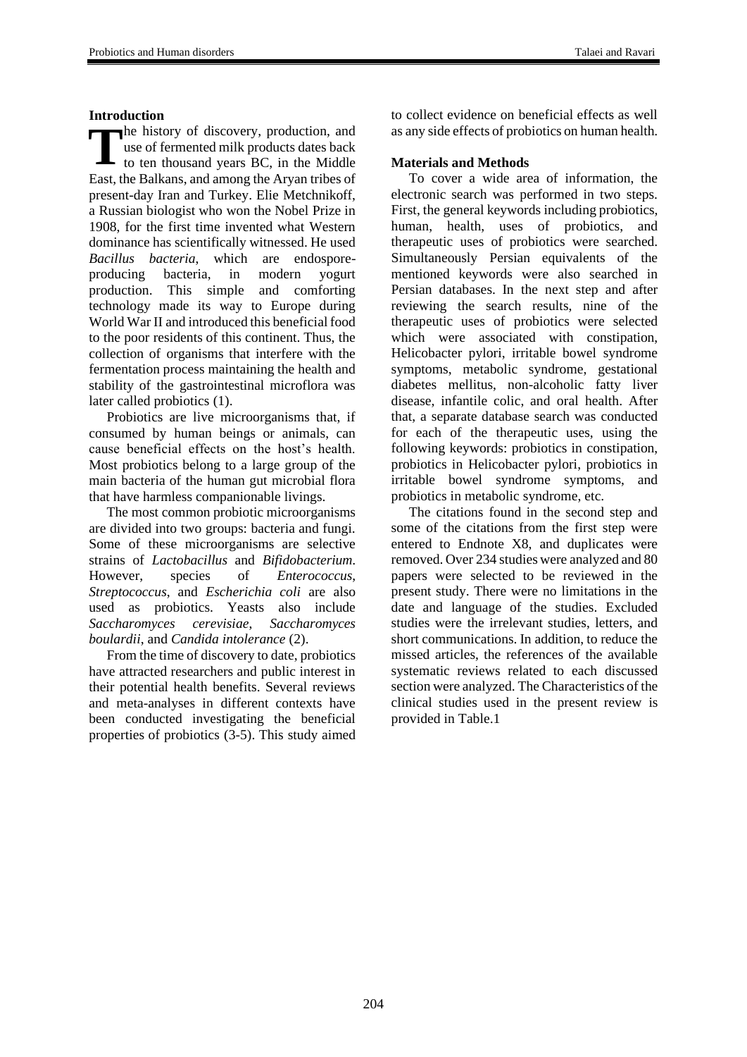### **Introduction**

The history of discovery, production, and use of fermented milk products dates back to ten thousand years BC, in the Middle use of fermented milk products dates back to ten thousand years BC, in the Middle East, the Balkans, and among the Aryan tribes of present-day Iran and Turkey. Elie Metchnikoff, a Russian biologist who won the Nobel Prize in 1908, for the first time invented what Western dominance has scientifically witnessed. He used *Bacillus bacteria*, which are endosporeproducing bacteria, in modern yogurt production. This simple and comforting technology made its way to Europe during World War II and introduced this beneficial food to the poor residents of this continent. Thus, the collection of organisms that interfere with the fermentation process maintaining the health and stability of the gastrointestinal microflora was later called probiotics (1).

Probiotics are live microorganisms that, if consumed by human beings or animals, can cause beneficial effects on the host's health. Most probiotics belong to a large group of the main bacteria of the human gut microbial flora that have harmless companionable livings.

The most common probiotic microorganisms are divided into two groups: bacteria and fungi. Some of these microorganisms are selective strains of *Lactobacillus* and *Bifidobacterium*. However, species of *Enterococcus*, *Streptococcus*, and *Escherichia coli* are also used as probiotics. Yeasts also include *Saccharomyces cerevisiae*, *Saccharomyces boulardii*, and *Candida intolerance* (2).

From the time of discovery to date, probiotics have attracted researchers and public interest in their potential health benefits. Several reviews and meta-analyses in different contexts have been conducted investigating the beneficial properties of probiotics (3-5). This study aimed to collect evidence on beneficial effects as well as any side effects of probiotics on human health.

## **Materials and Methods**

To cover a wide area of information, the electronic search was performed in two steps. First, the general keywords including probiotics, human, health, uses of probiotics, and therapeutic uses of probiotics were searched. Simultaneously Persian equivalents of the mentioned keywords were also searched in Persian databases. In the next step and after reviewing the search results, nine of the therapeutic uses of probiotics were selected which were associated with constipation, Helicobacter pylori, irritable bowel syndrome symptoms, metabolic syndrome, gestational diabetes mellitus, non-alcoholic fatty liver disease, infantile colic, and oral health. After that, a separate database search was conducted for each of the therapeutic uses, using the following keywords: probiotics in constipation, probiotics in Helicobacter pylori, probiotics in irritable bowel syndrome symptoms, and probiotics in metabolic syndrome, etc.

The citations found in the second step and some of the citations from the first step were entered to Endnote X8, and duplicates were removed. Over 234 studies were analyzed and 80 papers were selected to be reviewed in the present study. There were no limitations in the date and language of the studies. Excluded studies were the irrelevant studies, letters, and short communications. In addition, to reduce the missed articles, the references of the available systematic reviews related to each discussed section were analyzed. The Characteristics of the clinical studies used in the present review is provided in Table.1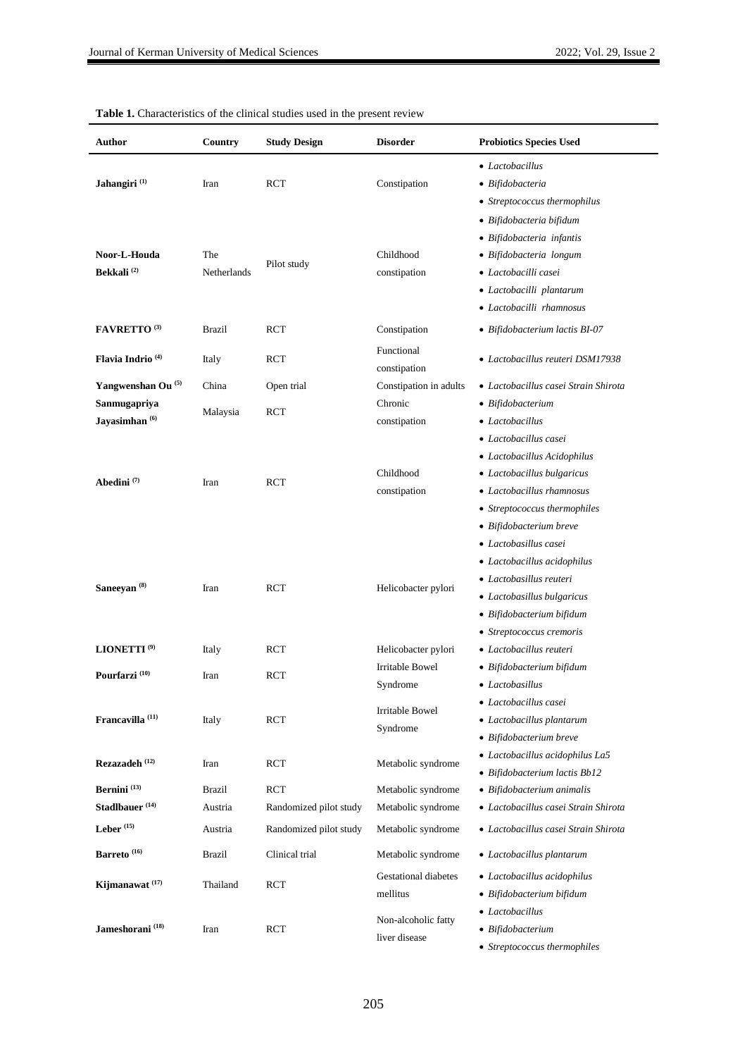| Author                         | Country          | <b>Study Design</b>    | <b>Disorder</b>                      | <b>Probiotics Species Used</b>       |  |  |
|--------------------------------|------------------|------------------------|--------------------------------------|--------------------------------------|--|--|
|                                |                  |                        |                                      | • Lactobacillus                      |  |  |
| Jahangiri <sup>(1)</sup>       | Iran             | <b>RCT</b>             | Constipation                         | • Bifidobacteria                     |  |  |
|                                |                  |                        |                                      | • Streptococcus thermophilus         |  |  |
|                                |                  |                        |                                      | • Bifidobacteria bifidum             |  |  |
|                                |                  |                        |                                      | · Bifidobacteria infantis            |  |  |
| Noor-L-Houda                   | The              |                        | Childhood                            | · Bifidobacteria longum              |  |  |
| Bekkali <sup>(2)</sup>         | Netherlands      | Pilot study            | constipation                         | • Lactobacilli casei                 |  |  |
|                                |                  |                        |                                      | • Lactobacilli plantarum             |  |  |
|                                |                  |                        |                                      | · Lactobacilli rhamnosus             |  |  |
| <b>FAVRETTO</b> <sup>(3)</sup> | <b>Brazil</b>    | <b>RCT</b>             | Constipation                         | • Bifidobacterium lactis BI-07       |  |  |
|                                |                  | <b>RCT</b>             | Functional                           |                                      |  |  |
| Flavia Indrio <sup>(4)</sup>   | Italy            |                        | constipation                         | • Lactobacillus reuteri DSM17938     |  |  |
| Yangwenshan Ou <sup>(5)</sup>  | China            | Open trial             | Constipation in adults               | • Lactobacillus casei Strain Shirota |  |  |
| Sanmugapriya                   |                  |                        | Chronic                              | • Bifidobacterium                    |  |  |
| Jayasimhan <sup>(6)</sup>      | Malaysia         | <b>RCT</b>             | constipation                         | • Lactobacillus                      |  |  |
|                                |                  |                        |                                      | • Lactobacillus casei                |  |  |
| Abedini $(7)$                  |                  |                        |                                      | • Lactobacillus Acidophilus          |  |  |
|                                |                  |                        | Childhood                            | • Lactobacillus bulgaricus           |  |  |
|                                | Iran             | <b>RCT</b>             | constipation                         | • Lactobacillus rhamnosus            |  |  |
|                                |                  |                        |                                      | • Streptococcus thermophiles         |  |  |
|                                |                  |                        |                                      | • Bifidobacterium breve              |  |  |
|                                |                  | <b>RCT</b>             | Helicobacter pylori                  | · Lactobasillus casei                |  |  |
|                                |                  |                        |                                      | • Lactobacillus acidophilus          |  |  |
|                                |                  |                        |                                      | • Lactobasillus reuteri              |  |  |
| Saneeyan <sup>(8)</sup>        | Iran             |                        |                                      | • Lactobasillus bulgaricus           |  |  |
|                                |                  |                        |                                      | • Bifidobacterium bifidum            |  |  |
|                                |                  |                        |                                      | • Streptococcus cremoris             |  |  |
| LIONETTI <sup>(9)</sup>        | Italy            | <b>RCT</b>             | Helicobacter pylori                  | • Lactobacillus reuteri              |  |  |
| Pourfarzi <sup>(10)</sup>      | Iran             | <b>RCT</b>             | <b>Irritable Bowel</b>               | • Bifidobacterium bifidum            |  |  |
|                                |                  |                        | Syndrome                             | • Lactobasillus                      |  |  |
|                                | Italy            | RCT                    | <b>Irritable Bowel</b><br>Syndrome   | • Lactobacillus casei                |  |  |
| Francavilla <sup>(11)</sup>    |                  |                        |                                      | • Lactobacillus plantarum            |  |  |
|                                |                  |                        |                                      | • Bifidobacterium breve              |  |  |
| Rezazadeh (12)                 | Iran             | <b>RCT</b>             | Metabolic syndrome                   | • Lactobacillus acidophilus La5      |  |  |
|                                |                  |                        |                                      | • Bifidobacterium lactis Bb12        |  |  |
| Bernini <sup>(13)</sup>        | <b>Brazil</b>    | <b>RCT</b>             | Metabolic syndrome                   | • Bifidobacterium animalis           |  |  |
| Stadlbauer <sup>(14)</sup>     | Austria          | Randomized pilot study | Metabolic syndrome                   | · Lactobacillus casei Strain Shirota |  |  |
| Leber $(15)$                   | Austria          | Randomized pilot study | Metabolic syndrome                   | • Lactobacillus casei Strain Shirota |  |  |
| Barreto $^{\left(16\right)}$   | <b>Brazil</b>    | Clinical trial         | Metabolic syndrome                   | • Lactobacillus plantarum            |  |  |
|                                | Thailand<br>Iran | <b>RCT</b><br>RCT      | <b>Gestational diabetes</b>          | • Lactobacillus acidophilus          |  |  |
| Kijmanawat <sup>(17)</sup>     |                  |                        | mellitus                             | • Bifidobacterium bifidum            |  |  |
|                                |                  |                        |                                      | • Lactobacillus                      |  |  |
| Jameshorani <sup>(18)</sup>    |                  |                        | Non-alcoholic fatty<br>liver disease | • Bifidobacterium                    |  |  |
|                                |                  |                        |                                      | • Streptococcus thermophiles         |  |  |

|  |  | <b>Table 1.</b> Characteristics of the clinical studies used in the present review |  |  |  |  |  |  |  |
|--|--|------------------------------------------------------------------------------------|--|--|--|--|--|--|--|
|--|--|------------------------------------------------------------------------------------|--|--|--|--|--|--|--|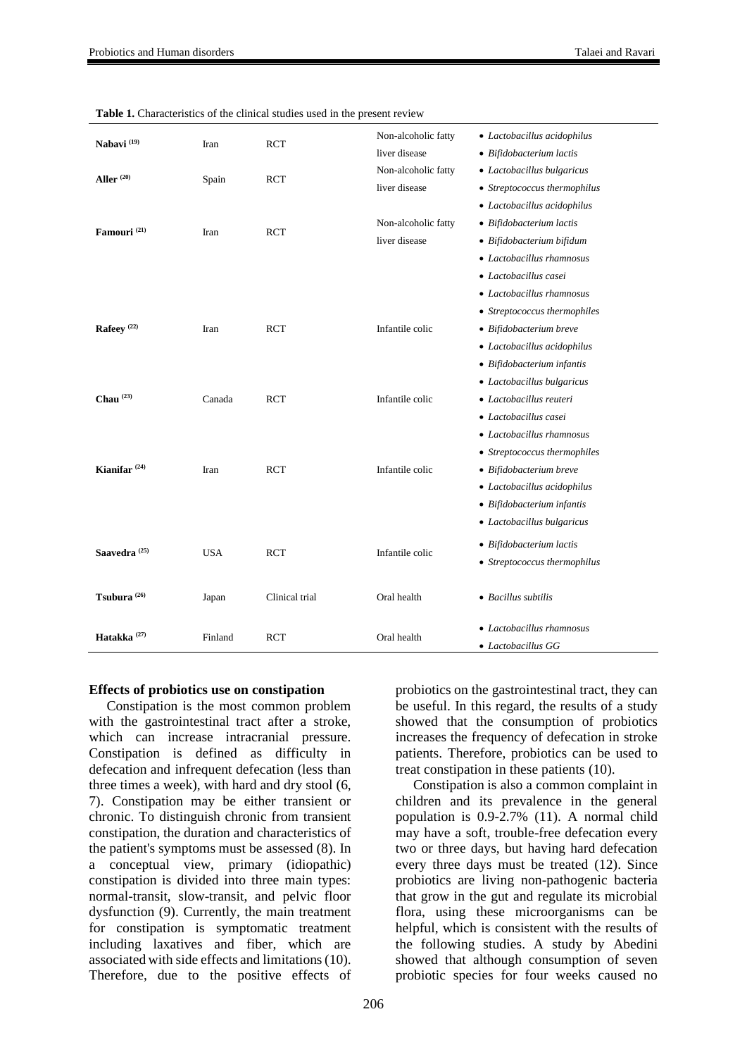| Nabavi <sup>(19)</sup>   | Iran       | <b>RCT</b>     | Non-alcoholic fatty<br>liver disease | • Lactobacillus acidophilus<br>• Bifidobacterium lactis                                                                                                                         |
|--------------------------|------------|----------------|--------------------------------------|---------------------------------------------------------------------------------------------------------------------------------------------------------------------------------|
| Aller <sup>(20)</sup>    | Spain      | RCT            | Non-alcoholic fatty<br>liver disease | • Lactobacillus bulgaricus<br>• Streptococcus thermophilus                                                                                                                      |
| Famouri <sup>(21)</sup>  | Iran       | <b>RCT</b>     | Non-alcoholic fatty<br>liver disease | • Lactobacillus acidophilus<br>• Bifidobacterium lactis<br>• Bifidobacterium bifidum<br>• Lactobacillus rhamnosus<br>• Lactobacillus casei                                      |
| Rafeey <sup>(22)</sup>   | Iran       | <b>RCT</b>     | Infantile colic                      | • Lactobacillus rhamnosus<br>• Streptococcus thermophiles<br>• Bifidobacterium breve<br>• Lactobacillus acidophilus<br>• Bifidobacterium infantis<br>• Lactobacillus bulgaricus |
| Chau $^{(23)}$           | Canada     | <b>RCT</b>     | Infantile colic                      | • Lactobacillus reuteri<br>• Lactobacillus casei<br>• Lactobacillus rhamnosus<br>• Streptococcus thermophiles                                                                   |
| Kianifar <sup>(24)</sup> | Iran       | <b>RCT</b>     | Infantile colic                      | $\bullet$ Bifidobacterium breve<br>• Lactobacillus acidophilus<br>$\bullet$ Bifidobacterium infantis<br>• Lactobacillus bulgaricus                                              |
| Saavedra <sup>(25)</sup> | <b>USA</b> | <b>RCT</b>     | Infantile colic                      | • Bifidobacterium lactis<br>• Streptococcus thermophilus                                                                                                                        |
| Tsubura $(26)$           | Japan      | Clinical trial | Oral health                          | • Bacillus subtilis                                                                                                                                                             |
| Hatakka <sup>(27)</sup>  | Finland    | <b>RCT</b>     | Oral health                          | • Lactobacillus rhamnosus<br>• Lactobacillus GG                                                                                                                                 |

**Table 1.** Characteristics of the clinical studies used in the present review

#### **Effects of probiotics use on constipation**

Constipation is the most common problem with the gastrointestinal tract after a stroke, which can increase intracranial pressure. Constipation is defined as difficulty in defecation and infrequent defecation (less than three times a week), with hard and dry stool (6, 7). Constipation may be either transient or chronic. To distinguish chronic from transient constipation, the duration and characteristics of the patient's symptoms must be assessed (8). In a conceptual view, primary (idiopathic) constipation is divided into three main types: normal-transit, slow-transit, and pelvic floor dysfunction (9). Currently, the main treatment for constipation is symptomatic treatment including laxatives and fiber, which are associated with side effects and limitations (10). Therefore, due to the positive effects of

probiotics on the gastrointestinal tract, they can be useful. In this regard, the results of a study showed that the consumption of probiotics increases the frequency of defecation in stroke patients. Therefore, probiotics can be used to treat constipation in these patients (10).

Constipation is also a common complaint in children and its prevalence in the general population is 0.9-2.7% (11). A normal child may have a soft, trouble-free defecation every two or three days, but having hard defecation every three days must be treated (12). Since probiotics are living non-pathogenic bacteria that grow in the gut and regulate its microbial flora, using these microorganisms can be helpful, which is consistent with the results of the following studies. A study by Abedini showed that although consumption of seven probiotic species for four weeks caused no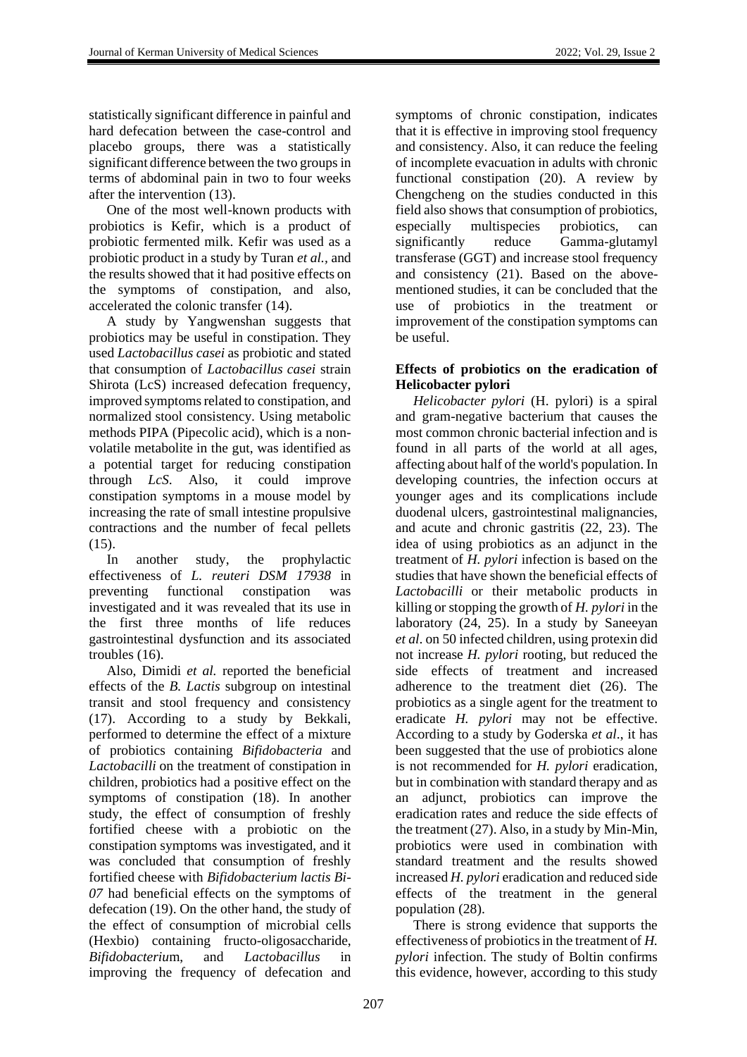statistically significant difference in painful and hard defecation between the case-control and placebo groups, there was a statistically significant difference between the two groups in terms of abdominal pain in two to four weeks after the intervention (13).

One of the most well-known products with probiotics is Kefir, which is a product of probiotic fermented milk. Kefir was used as a probiotic product in a study by Turan *et al.,* and the results showed that it had positive effects on the symptoms of constipation, and also, accelerated the colonic transfer (14).

A study by Yangwenshan suggests that probiotics may be useful in constipation. They used *Lactobacillus casei* as probiotic and stated that consumption of *Lactobacillus casei* strain Shirota (LcS) increased defecation frequency, improved symptoms related to constipation, and normalized stool consistency. Using metabolic methods PIPA (Pipecolic acid), which is a nonvolatile metabolite in the gut, was identified as a potential target for reducing constipation through *LcS*. Also, it could improve constipation symptoms in a mouse model by increasing the rate of small intestine propulsive contractions and the number of fecal pellets (15).

In another study, the prophylactic effectiveness of *L. reuteri DSM 17938* in preventing functional constipation was investigated and it was revealed that its use in the first three months of life reduces gastrointestinal dysfunction and its associated troubles (16).

Also, Dimidi *et al.* reported the beneficial effects of the *B. Lactis* subgroup on intestinal transit and stool frequency and consistency (17). According to a study by Bekkali, performed to determine the effect of a mixture of probiotics containing *Bifidobacteria* and *Lactobacilli* on the treatment of constipation in children, probiotics had a positive effect on the symptoms of constipation (18). In another study, the effect of consumption of freshly fortified cheese with a probiotic on the constipation symptoms was investigated, and it was concluded that consumption of freshly fortified cheese with *Bifidobacterium lactis Bi-07* had beneficial effects on the symptoms of defecation (19). On the other hand, the study of the effect of consumption of microbial cells (Hexbio) containing fructo-oligosaccharide, *Bifidobacteriu*m, and *Lactobacillus* in improving the frequency of defecation and

symptoms of chronic constipation, indicates that it is effective in improving stool frequency and consistency. Also, it can reduce the feeling of incomplete evacuation in adults with chronic functional constipation (20). A review by Chengcheng on the studies conducted in this field also shows that consumption of probiotics, especially multispecies probiotics, can significantly reduce Gamma-glutamyl transferase (GGT) and increase stool frequency and consistency (21). Based on the abovementioned studies, it can be concluded that the use of probiotics in the treatment or improvement of the constipation symptoms can be useful.

# **Effects of probiotics on the eradication of Helicobacter pylori**

*Helicobacter pylori* (H. pylori) is a spiral and gram-negative bacterium that causes the most common chronic bacterial infection and is found in all parts of the world at all ages, affecting about half of the world's population. In developing countries, the infection occurs at younger ages and its complications include duodenal ulcers, gastrointestinal malignancies, and acute and chronic gastritis (22, 23). The idea of using probiotics as an adjunct in the treatment of *H. pylori* infection is based on the studies that have shown the beneficial effects of *Lactobacilli* or their metabolic products in killing or stopping the growth of *H. pylori* in the laboratory (24, 25). In a study by Saneeyan *et al*. on 50 infected children, using protexin did not increase *H. pylori* rooting, but reduced the side effects of treatment and increased adherence to the treatment diet (26). The probiotics as a single agent for the treatment to eradicate *H. pylori* may not be effective. According to a study by Goderska *et al*., it has been suggested that the use of probiotics alone is not recommended for *H. pylori* eradication, but in combination with standard therapy and as an adjunct, probiotics can improve the eradication rates and reduce the side effects of the treatment (27). Also, in a study by Min-Min, probiotics were used in combination with standard treatment and the results showed increased *H. pylori* eradication and reduced side effects of the treatment in the general population (28).

There is strong evidence that supports the effectiveness of probiotics in the treatment of *H. pylori* infection. The study of Boltin confirms this evidence, however, according to this study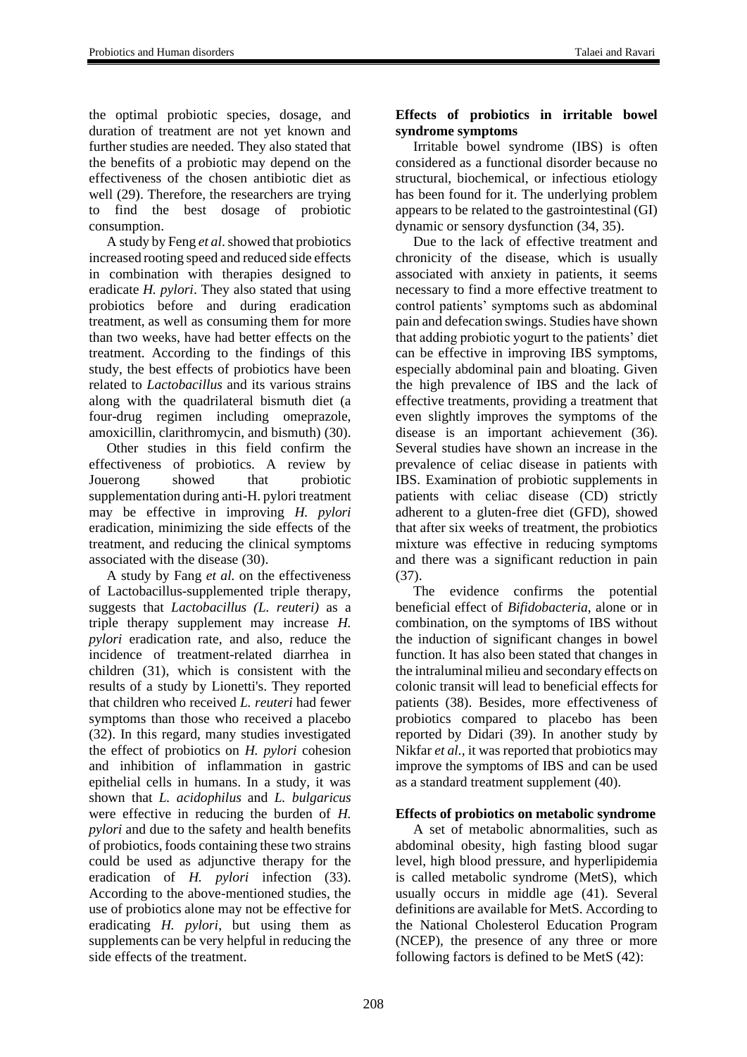the optimal probiotic species, dosage, and duration of treatment are not yet known and further studies are needed. They also stated that the benefits of a probiotic may depend on the effectiveness of the chosen antibiotic diet as well (29). Therefore, the researchers are trying to find the best dosage of probiotic consumption.

A study by Feng *et al*. showed that probiotics increased rooting speed and reduced side effects in combination with therapies designed to eradicate *H. pylori*. They also stated that using probiotics before and during eradication treatment, as well as consuming them for more than two weeks, have had better effects on the treatment. According to the findings of this study, the best effects of probiotics have been related to *Lactobacillus* and its various strains along with the quadrilateral bismuth diet (a four-drug regimen including omeprazole, amoxicillin, clarithromycin, and bismuth) (30).

Other studies in this field confirm the effectiveness of probiotics. A review by Jouerong showed that probiotic supplementation during anti-H. pylori treatment may be effective in improving *H. pylori* eradication, minimizing the side effects of the treatment, and reducing the clinical symptoms associated with the disease (30).

A study by Fang *et al.* on the effectiveness of Lactobacillus-supplemented triple therapy, suggests that *Lactobacillus (L. reuteri)* as a triple therapy supplement may increase *H. pylori* eradication rate, and also, reduce the incidence of treatment-related diarrhea in children (31), which is consistent with the results of a study by Lionetti's. They reported that children who received *L. reuteri* had fewer symptoms than those who received a placebo (32). In this regard, many studies investigated the effect of probiotics on *H. pylori* cohesion and inhibition of inflammation in gastric epithelial cells in humans. In a study, it was shown that *L. acidophilus* and *L. bulgaricus* were effective in reducing the burden of *H. pylori* and due to the safety and health benefits of probiotics, foods containing these two strains could be used as adjunctive therapy for the eradication of *H. pylori* infection (33). According to the above-mentioned studies, the use of probiotics alone may not be effective for eradicating *H. pylori*, but using them as supplements can be very helpful in reducing the side effects of the treatment.

# **Effects of probiotics in irritable bowel syndrome symptoms**

Irritable bowel syndrome (IBS) is often considered as a functional disorder because no structural, biochemical, or infectious etiology has been found for it. The underlying problem appears to be related to the gastrointestinal (GI) dynamic or sensory dysfunction (34, 35).

Due to the lack of effective treatment and chronicity of the disease, which is usually associated with anxiety in patients, it seems necessary to find a more effective treatment to control patients' symptoms such as abdominal pain and defecation swings. Studies have shown that adding probiotic yogurt to the patients' diet can be effective in improving IBS symptoms, especially abdominal pain and bloating. Given the high prevalence of IBS and the lack of effective treatments, providing a treatment that even slightly improves the symptoms of the disease is an important achievement (36). Several studies have shown an increase in the prevalence of celiac disease in patients with IBS. Examination of probiotic supplements in patients with celiac disease (CD) strictly adherent to a gluten-free diet (GFD), showed that after six weeks of treatment, the probiotics mixture was effective in reducing symptoms and there was a significant reduction in pain (37).

The evidence confirms the potential beneficial effect of *Bifidobacteria*, alone or in combination, on the symptoms of IBS without the induction of significant changes in bowel function. It has also been stated that changes in the intraluminal milieu and secondary effects on colonic transit will lead to beneficial effects for patients (38). Besides, more effectiveness of probiotics compared to placebo has been reported by Didari (39). In another study by Nikfar *et al.,* it was reported that probiotics may improve the symptoms of IBS and can be used as a standard treatment supplement (40).

# **Effects of probiotics on metabolic syndrome**

A set of metabolic abnormalities, such as abdominal obesity, high fasting blood sugar level, high blood pressure, and hyperlipidemia is called metabolic syndrome (MetS), which usually occurs in middle age (41). Several definitions are available for MetS. According to the National Cholesterol Education Program (NCEP), the presence of any three or more following factors is defined to be MetS (42):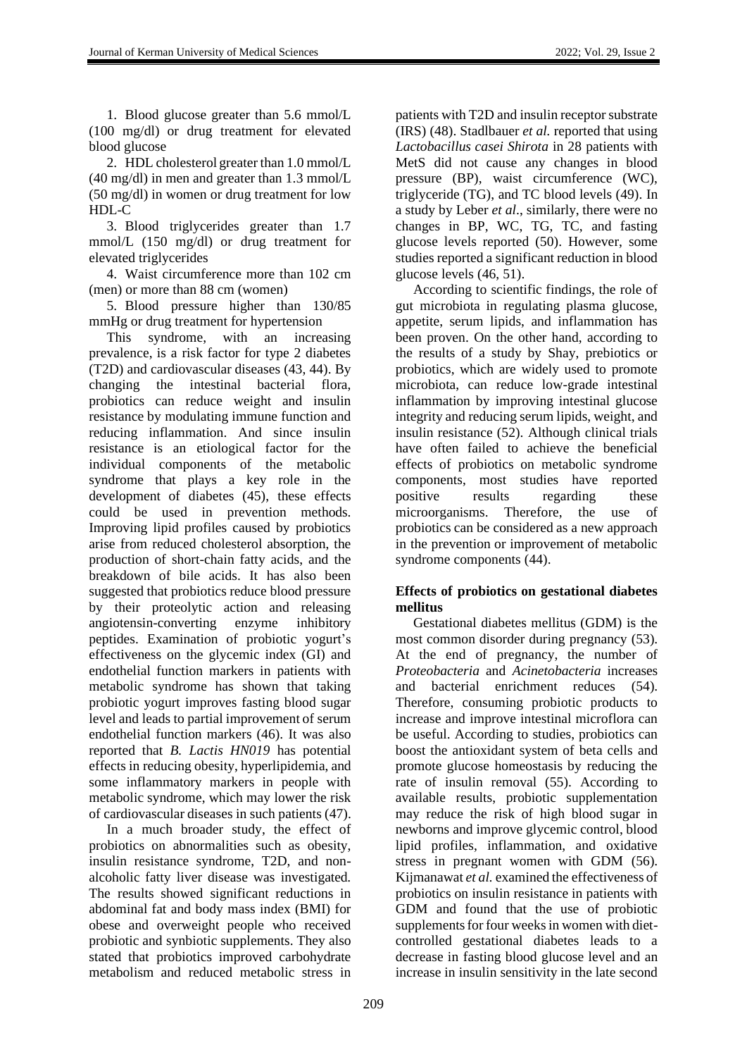1. Blood glucose greater than 5.6 mmol/L (100 mg/dl) or drug treatment for elevated blood glucose

2. HDL cholesterol greater than 1.0 mmol/L (40 mg/dl) in men and greater than 1.3 mmol/L (50 mg/dl) in women or drug treatment for low HDL-C

3. Blood triglycerides greater than 1.7 mmol/L (150 mg/dl) or drug treatment for elevated triglycerides

4. Waist circumference more than 102 cm (men) or more than 88 cm (women)

5. Blood pressure higher than 130/85 mmHg or drug treatment for hypertension

This syndrome, with an increasing prevalence, is a risk factor for type 2 diabetes (T2D) and cardiovascular diseases (43, 44). By changing the intestinal bacterial flora, probiotics can reduce weight and insulin resistance by modulating immune function and reducing inflammation. And since insulin resistance is an etiological factor for the individual components of the metabolic syndrome that plays a key role in the development of diabetes (45), these effects could be used in prevention methods. Improving lipid profiles caused by probiotics arise from reduced cholesterol absorption, the production of short-chain fatty acids, and the breakdown of bile acids. It has also been suggested that probiotics reduce blood pressure by their proteolytic action and releasing angiotensin-converting enzyme inhibitory peptides. Examination of probiotic yogurt's effectiveness on the glycemic index (GI) and endothelial function markers in patients with metabolic syndrome has shown that taking probiotic yogurt improves fasting blood sugar level and leads to partial improvement of serum endothelial function markers (46). It was also reported that *B. Lactis HN019* has potential effects in reducing obesity, hyperlipidemia, and some inflammatory markers in people with metabolic syndrome, which may lower the risk of cardiovascular diseases in such patients (47).

In a much broader study, the effect of probiotics on abnormalities such as obesity, insulin resistance syndrome, T2D, and nonalcoholic fatty liver disease was investigated. The results showed significant reductions in abdominal fat and body mass index (BMI) for obese and overweight people who received probiotic and synbiotic supplements. They also stated that probiotics improved carbohydrate metabolism and reduced metabolic stress in

patients with T2D and insulin receptor substrate (IRS) (48). Stadlbauer *et al.* reported that using *Lactobacillus casei Shirota* in 28 patients with MetS did not cause any changes in blood pressure (BP), waist circumference (WC), triglyceride (TG), and TC blood levels (49). In a study by Leber *et al*., similarly, there were no changes in BP, WC, TG, TC, and fasting glucose levels reported (50). However, some studies reported a significant reduction in blood glucose levels (46, 51).

According to scientific findings, the role of gut microbiota in regulating plasma glucose, appetite, serum lipids, and inflammation has been proven. On the other hand, according to the results of a study by Shay, prebiotics or probiotics, which are widely used to promote microbiota, can reduce low-grade intestinal inflammation by improving intestinal glucose integrity and reducing serum lipids, weight, and insulin resistance (52). Although clinical trials have often failed to achieve the beneficial effects of probiotics on metabolic syndrome components, most studies have reported positive results regarding these microorganisms. Therefore, the use of probiotics can be considered as a new approach in the prevention or improvement of metabolic syndrome components (44).

## **Effects of probiotics on gestational diabetes mellitus**

Gestational diabetes mellitus (GDM) is the most common disorder during pregnancy (53). At the end of pregnancy, the number of *Proteobacteria* and *Acinetobacteria* increases and bacterial enrichment reduces (54). Therefore, consuming probiotic products to increase and improve intestinal microflora can be useful. According to studies, probiotics can boost the antioxidant system of beta cells and promote glucose homeostasis by reducing the rate of insulin removal (55). According to available results, probiotic supplementation may reduce the risk of high blood sugar in newborns and improve glycemic control, blood lipid profiles, inflammation, and oxidative stress in pregnant women with GDM (56). Kijmanawat *et al.* examined the effectiveness of probiotics on insulin resistance in patients with GDM and found that the use of probiotic supplements for four weeks in women with dietcontrolled gestational diabetes leads to a decrease in fasting blood glucose level and an increase in insulin sensitivity in the late second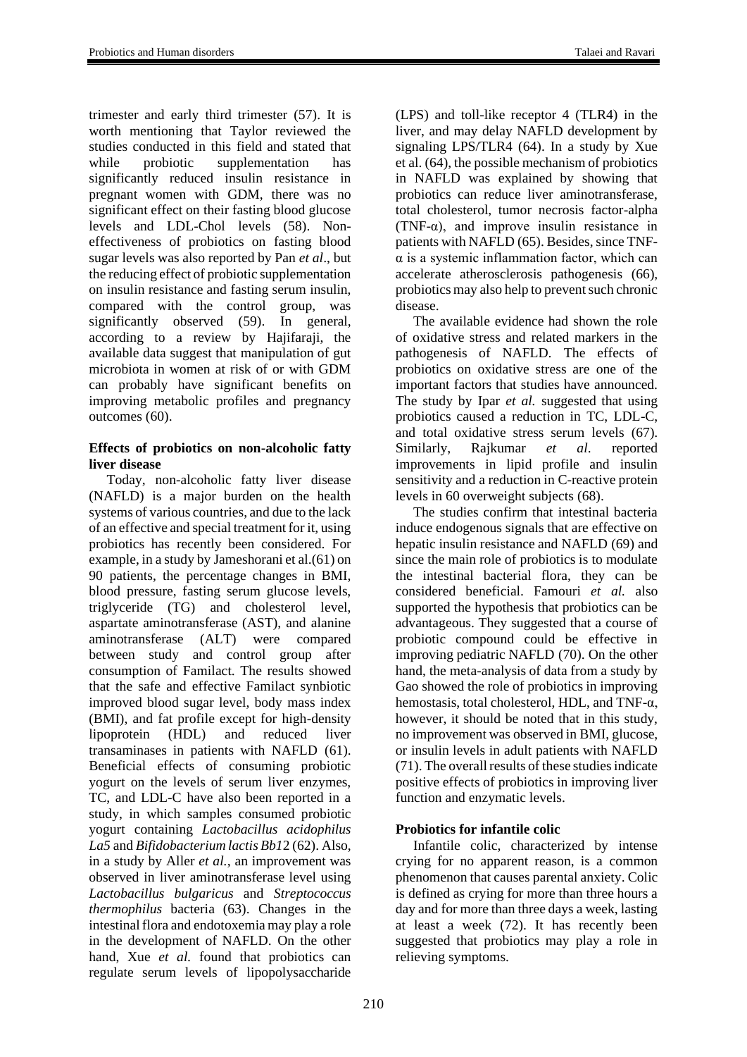trimester and early third trimester (57). It is worth mentioning that Taylor reviewed the studies conducted in this field and stated that while probiotic supplementation has significantly reduced insulin resistance in pregnant women with GDM, there was no significant effect on their fasting blood glucose levels and LDL-Chol levels (58). Noneffectiveness of probiotics on fasting blood sugar levels was also reported by Pan *et al*., but the reducing effect of probiotic supplementation on insulin resistance and fasting serum insulin, compared with the control group, was significantly observed (59). In general, according to a review by Hajifaraji, the available data suggest that manipulation of gut microbiota in women at risk of or with GDM can probably have significant benefits on improving metabolic profiles and pregnancy outcomes (60).

## **Effects of probiotics on non-alcoholic fatty liver disease**

Today, non-alcoholic fatty liver disease (NAFLD) is a major burden on the health systems of various countries, and due to the lack of an effective and special treatment for it, using probiotics has recently been considered. For example, in a study by Jameshorani et al.(61) on 90 patients, the percentage changes in BMI, blood pressure, fasting serum glucose levels, triglyceride (TG) and cholesterol level, aspartate aminotransferase (AST), and alanine aminotransferase (ALT) were compared between study and control group after consumption of Familact. The results showed that the safe and effective Familact synbiotic improved blood sugar level, body mass index (BMI), and fat profile except for high-density lipoprotein (HDL) and reduced liver transaminases in patients with NAFLD (61). Beneficial effects of consuming probiotic yogurt on the levels of serum liver enzymes, TC, and LDL-C have also been reported in a study, in which samples consumed probiotic yogurt containing *Lactobacillus acidophilus La5* and *Bifidobacterium lactis Bb1*2 (62). Also, in a study by Aller *et al.,* an improvement was observed in liver aminotransferase level using *Lactobacillus bulgaricus* and *Streptococcus thermophilus* bacteria (63). Changes in the intestinal flora and endotoxemia may play a role in the development of NAFLD. On the other hand, Xue *et al.* found that probiotics can regulate serum levels of lipopolysaccharide

(LPS) and toll-like receptor 4 (TLR4) in the liver, and may delay NAFLD development by signaling LPS/TLR4 (64). In a study by Xue et al. (64), the possible mechanism of probiotics in NAFLD was explained by showing that probiotics can reduce liver aminotransferase, total cholesterol, tumor necrosis factor-alpha (TNF- $\alpha$ ), and improve insulin resistance in patients with NAFLD (65). Besides, since TNF- $\alpha$  is a systemic inflammation factor, which can accelerate atherosclerosis pathogenesis (66), probiotics may also help to prevent such chronic disease.

The available evidence had shown the role of oxidative stress and related markers in the pathogenesis of NAFLD. The effects of probiotics on oxidative stress are one of the important factors that studies have announced. The study by Ipar *et al.* suggested that using probiotics caused a reduction in TC, LDL-C, and total oxidative stress serum levels (67).<br>Similarly, Rajkumar *et al.* reported Similarly, Rajkumar *et al*. reported improvements in lipid profile and insulin sensitivity and a reduction in C-reactive protein levels in 60 overweight subjects (68).

The studies confirm that intestinal bacteria induce endogenous signals that are effective on hepatic insulin resistance and NAFLD (69) and since the main role of probiotics is to modulate the intestinal bacterial flora, they can be considered beneficial. Famouri *et al.* also supported the hypothesis that probiotics can be advantageous. They suggested that a course of probiotic compound could be effective in improving pediatric NAFLD (70). On the other hand, the meta-analysis of data from a study by Gao showed the role of probiotics in improving hemostasis, total cholesterol, HDL, and TNF-α, however, it should be noted that in this study, no improvement was observed in BMI, glucose, or insulin levels in adult patients with NAFLD (71). The overall results of these studies indicate positive effects of probiotics in improving liver function and enzymatic levels.

# **Probiotics for infantile colic**

Infantile colic, characterized by intense crying for no apparent reason, is a common phenomenon that causes parental anxiety. Colic is defined as crying for more than three hours a day and for more than three days a week, lasting at least a week (72). It has recently been suggested that probiotics may play a role in relieving symptoms.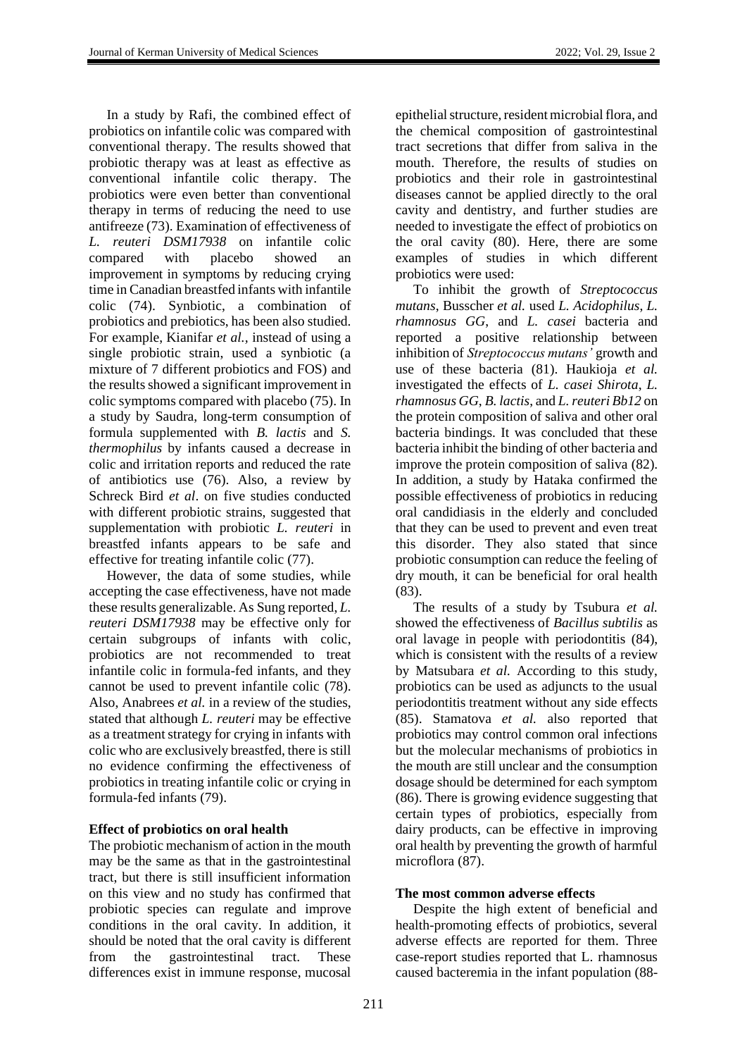In a study by Rafi, the combined effect of probiotics on infantile colic was compared with conventional therapy. The results showed that probiotic therapy was at least as effective as conventional infantile colic therapy. The probiotics were even better than conventional therapy in terms of reducing the need to use antifreeze (73). Examination of effectiveness of *L. reuteri DSM17938* on infantile colic compared with placebo showed an improvement in symptoms by reducing crying time in Canadian breastfed infants with infantile colic (74). Synbiotic, a combination of probiotics and prebiotics, has been also studied. For example, Kianifar *et al.,* instead of using a single probiotic strain, used a synbiotic (a mixture of 7 different probiotics and FOS) and the results showed a significant improvement in colic symptoms compared with placebo (75). In a study by Saudra, long-term consumption of formula supplemented with *B. lactis* and *S. thermophilus* by infants caused a decrease in colic and irritation reports and reduced the rate of antibiotics use (76). Also, a review by Schreck Bird *et al*. on five studies conducted with different probiotic strains, suggested that supplementation with probiotic *L. reuteri* in breastfed infants appears to be safe and effective for treating infantile colic (77).

However, the data of some studies, while accepting the case effectiveness, have not made these results generalizable. As Sung reported, *L. reuteri DSM17938* may be effective only for certain subgroups of infants with colic, probiotics are not recommended to treat infantile colic in formula-fed infants, and they cannot be used to prevent infantile colic (78). Also, Anabrees *et al.* in a review of the studies, stated that although *L. reuteri* may be effective as a treatment strategy for crying in infants with colic who are exclusively breastfed, there is still no evidence confirming the effectiveness of probiotics in treating infantile colic or crying in formula-fed infants (79).

## **Effect of probiotics on oral health**

The probiotic mechanism of action in the mouth may be the same as that in the gastrointestinal tract, but there is still insufficient information on this view and no study has confirmed that probiotic species can regulate and improve conditions in the oral cavity. In addition, it should be noted that the oral cavity is different from the gastrointestinal tract. These differences exist in immune response, mucosal

epithelial structure, resident microbial flora, and the chemical composition of gastrointestinal tract secretions that differ from saliva in the mouth. Therefore, the results of studies on probiotics and their role in gastrointestinal diseases cannot be applied directly to the oral cavity and dentistry, and further studies are needed to investigate the effect of probiotics on the oral cavity (80). Here, there are some examples of studies in which different probiotics were used:

To inhibit the growth of *Streptococcus mutans*, Busscher *et al.* used *L. Acidophilus*, *L. rhamnosus GG*, and *L. casei* bacteria and reported a positive relationship between inhibition of *Streptococcus mutans'* growth and use of these bacteria (81). Haukioja *et al.* investigated the effects of *L. casei Shirota*, *L. rhamnosus GG*, *B. lactis*, and *L. reuteri Bb12* on the protein composition of saliva and other oral bacteria bindings. It was concluded that these bacteria inhibit the binding of other bacteria and improve the protein composition of saliva (82). In addition, a study by Hataka confirmed the possible effectiveness of probiotics in reducing oral candidiasis in the elderly and concluded that they can be used to prevent and even treat this disorder. They also stated that since probiotic consumption can reduce the feeling of dry mouth, it can be beneficial for oral health (83).

The results of a study by Tsubura *et al.* showed the effectiveness of *Bacillus subtilis* as oral lavage in people with periodontitis (84), which is consistent with the results of a review by Matsubara *et al.* According to this study, probiotics can be used as adjuncts to the usual periodontitis treatment without any side effects (85). Stamatova *et al.* also reported that probiotics may control common oral infections but the molecular mechanisms of probiotics in the mouth are still unclear and the consumption dosage should be determined for each symptom (86). There is growing evidence suggesting that certain types of probiotics, especially from dairy products, can be effective in improving oral health by preventing the growth of harmful microflora (87).

### **The most common adverse effects**

Despite the high extent of beneficial and health-promoting effects of probiotics, several adverse effects are reported for them. Three case-report studies reported that L. rhamnosus caused bacteremia in the infant population (88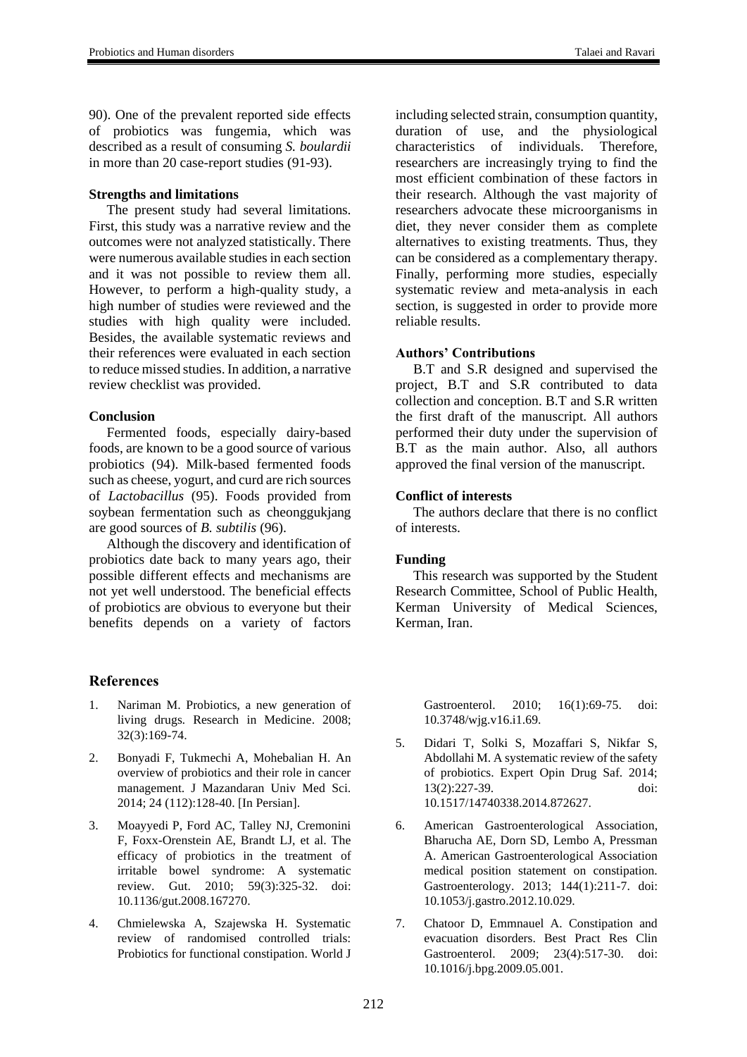90). One of the prevalent reported side effects of probiotics was fungemia, which was described as a result of consuming *S. boulardii* in more than 20 case-report studies (91-93).

## **Strengths and limitations**

The present study had several limitations. First, this study was a narrative review and the outcomes were not analyzed statistically. There were numerous available studies in each section and it was not possible to review them all. However, to perform a high-quality study, a high number of studies were reviewed and the studies with high quality were included. Besides, the available systematic reviews and their references were evaluated in each section to reduce missed studies. In addition, a narrative review checklist was provided.

## **Conclusion**

Fermented foods, especially dairy-based foods, are known to be a good source of various probiotics (94). Milk-based fermented foods such as cheese, yogurt, and curd are rich sources of *Lactobacillus* (95). Foods provided from soybean fermentation such as cheonggukjang are good sources of *B. subtilis* (96).

Although the discovery and identification of probiotics date back to many years ago, their possible different effects and mechanisms are not yet well understood. The beneficial effects of probiotics are obvious to everyone but their benefits depends on a variety of factors

## **References**

- 1. Nariman M. Probiotics, a new generation of living drugs*.* Research in Medicine. 2008; 32(3):169-74.
- 2. Bonyadi F, Tukmechi A, Mohebalian H. An overview of probiotics and their role in cancer management. J Mazandaran Univ Med Sci. 2014; 24 (112):128-40. [In Persian].
- 3. Moayyedi P, Ford AC, Talley NJ, Cremonini F, Foxx-Orenstein AE, Brandt LJ, et al. The efficacy of probiotics in the treatment of irritable bowel syndrome: A systematic review. Gut. 2010; 59(3):325-32. doi: 10.1136/gut.2008.167270.
- 4. Chmielewska A, Szajewska H. Systematic review of randomised controlled trials: Probiotics for functional constipation. World J

including selected strain, consumption quantity, duration of use, and the physiological characteristics of individuals. Therefore, researchers are increasingly trying to find the most efficient combination of these factors in their research. Although the vast majority of researchers advocate these microorganisms in diet, they never consider them as complete alternatives to existing treatments. Thus, they can be considered as a complementary therapy. Finally, performing more studies, especially systematic review and meta-analysis in each section, is suggested in order to provide more reliable results.

### **Authors' Contributions**

B.T and S.R designed and supervised the project, B.T and S.R contributed to data collection and conception. B.T and S.R written the first draft of the manuscript. All authors performed their duty under the supervision of B.T as the main author. Also, all authors approved the final version of the manuscript.

## **Conflict of interests**

The authors declare that there is no conflict of interests.

## **Funding**

This research was supported by the Student Research Committee, School of Public Health, Kerman University of Medical Sciences, Kerman, Iran.

Gastroenterol. 2010; 16(1):69-75. doi: 10.3748/wjg.v16.i1.69.

- 5. Didari T, Solki S, Mozaffari S, Nikfar S, Abdollahi M. A systematic review of the safety of probiotics. Expert Opin Drug Saf. 2014; 13(2):227-39. doi: 10.1517/14740338.2014.872627.
- 6. American Gastroenterological Association, Bharucha AE, Dorn SD, Lembo A, Pressman A. American Gastroenterological Association medical position statement on constipation. Gastroenterology. 2013; 144(1):211-7. doi: 10.1053/j.gastro.2012.10.029.
- 7. Chatoor D, Emmnauel A. Constipation and evacuation disorders. Best Pract Res Clin Gastroenterol. 2009; 23(4):517-30. doi: 10.1016/j.bpg.2009.05.001.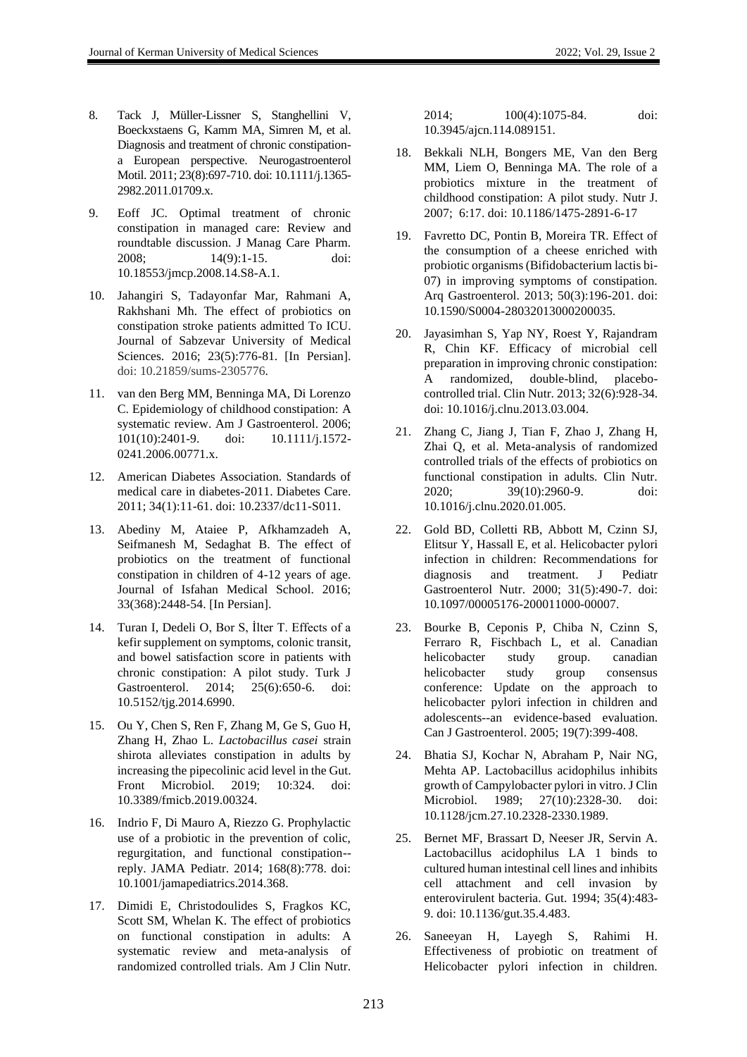- 8. Tack J, Müller-Lissner S, Stanghellini V, Boeckxstaens G, Kamm MA, Simren M, et al. Diagnosis and treatment of chronic constipationa European perspective. Neurogastroenterol Motil. 2011; 23(8):697-710. doi: 10.1111/j.1365- 2982.2011.01709.x.
- 9. Eoff JC. Optimal treatment of chronic constipation in managed care: Review and roundtable discussion. J Manag Care Pharm. 2008; 14(9):1-15. doi: 10.18553/jmcp.2008.14.S8-A.1.
- 10. Jahangiri S, Tadayonfar Mar, Rahmani A, Rakhshani Mh. The effect of probiotics on constipation stroke patients admitted To ICU. Journal of Sabzevar University of Medical Sciences. 2016; 23(5):776-81. [In Persian]. doi: 10.21859/sums-2305776.
- 11. van den Berg MM, Benninga MA, Di Lorenzo C. Epidemiology of childhood constipation: A systematic review. Am J Gastroenterol. 2006; 101(10):2401-9. doi: 10.1111/j.1572- 0241.2006.00771.x.
- 12. American Diabetes Association. Standards of medical care in diabetes-2011. Diabetes Care. 2011; 34(1):11-61. doi: 10.2337/dc11-S011.
- 13. Abediny M, Ataiee P, Afkhamzadeh A, Seifmanesh M, Sedaghat B. The effect of probiotics on the treatment of functional constipation in children of 4-12 years of age. Journal of Isfahan Medical School. 2016; 33(368):2448-54. [In Persian].
- 14. Turan I, Dedeli O, Bor S, İlter T. Effects of a kefir supplement on symptoms, colonic transit, and bowel satisfaction score in patients with chronic constipation: A pilot study. Turk J Gastroenterol. 2014; 25(6):650-6. doi: 10.5152/tjg.2014.6990.
- 15. Ou Y, Chen S, Ren F, Zhang M, Ge S, Guo H, Zhang H, Zhao L. *Lactobacillus casei* strain shirota alleviates constipation in adults by increasing the pipecolinic acid level in the Gut. Front Microbiol. 2019; 10:324. doi: 10.3389/fmicb.2019.00324.
- 16. Indrio F, Di Mauro A, Riezzo G. Prophylactic use of a probiotic in the prevention of colic, regurgitation, and functional constipation- reply. JAMA Pediatr. 2014; 168(8):778. doi: 10.1001/jamapediatrics.2014.368.
- 17. Dimidi E, Christodoulides S, Fragkos KC, Scott SM, Whelan K. The effect of probiotics on functional constipation in adults: A systematic review and meta-analysis of randomized controlled trials. Am J Clin Nutr.

2014; 100(4):1075-84. doi: 10.3945/ajcn.114.089151.

- 18. Bekkali NLH, Bongers ME, Van den Berg MM, Liem O, Benninga MA. The role of a probiotics mixture in the treatment of childhood constipation: A pilot study. Nutr J. 2007; 6:17. doi: 10.1186/1475-2891-6-17
- 19. Favretto DC, Pontin B, Moreira TR. Effect of the consumption of a cheese enriched with probiotic organisms (Bifidobacterium lactis bi-07) in improving symptoms of constipation. Arq Gastroenterol. 2013; 50(3):196-201. doi: 10.1590/S0004-28032013000200035.
- 20. Jayasimhan S, Yap NY, Roest Y, Rajandram R, Chin KF. Efficacy of microbial cell preparation in improving chronic constipation: A randomized, double-blind, placebocontrolled trial. Clin Nutr. 2013; 32(6):928-34. doi: 10.1016/j.clnu.2013.03.004.
- 21. Zhang C, Jiang J, Tian F, Zhao J, Zhang H, Zhai Q, et al. Meta-analysis of randomized controlled trials of the effects of probiotics on functional constipation in adults. Clin Nutr. 2020; 39(10):2960-9. doi: 10.1016/j.clnu.2020.01.005.
- 22. Gold BD, Colletti RB, Abbott M, Czinn SJ, Elitsur Y, Hassall E, et al. Helicobacter pylori infection in children: Recommendations for diagnosis and treatment. J Pediatr Gastroenterol Nutr. 2000; 31(5):490-7. doi: 10.1097/00005176-200011000-00007.
- 23. Bourke B, Ceponis P, Chiba N, Czinn S, Ferraro R, Fischbach L, et al. Canadian helicobacter study group. canadian helicobacter study group consensus conference: Update on the approach to helicobacter pylori infection in children and adolescents--an evidence-based evaluation. Can J Gastroenterol. 2005; 19(7):399-408.
- 24. Bhatia SJ, Kochar N, Abraham P, Nair NG, Mehta AP. Lactobacillus acidophilus inhibits growth of Campylobacter pylori in vitro. J Clin Microbiol. 1989; 27(10):2328-30. doi: 10.1128/jcm.27.10.2328-2330.1989.
- 25. Bernet MF, Brassart D, Neeser JR, Servin A. Lactobacillus acidophilus LA 1 binds to cultured human intestinal cell lines and inhibits cell attachment and cell invasion by enterovirulent bacteria. Gut. 1994; 35(4):483- 9. doi: 10.1136/gut.35.4.483.
- 26. Saneeyan H, Layegh S, Rahimi H. Effectiveness of probiotic on treatment of Helicobacter pylori infection in children.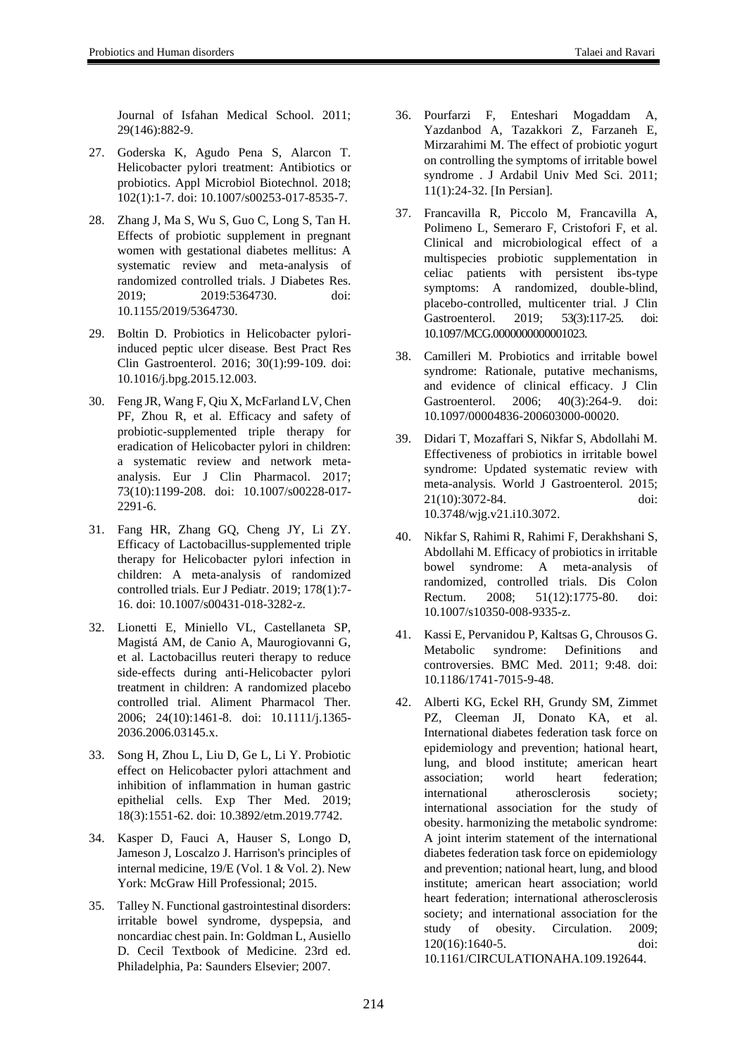- 27. Goderska K, Agudo Pena S, Alarcon T. Helicobacter pylori treatment: Antibiotics or probiotics. Appl Microbiol Biotechnol. 2018; 102(1):1-7. doi: 10.1007/s00253-017-8535-7.
- 28. Zhang J, Ma S, Wu S, Guo C, Long S, Tan H. Effects of probiotic supplement in pregnant women with gestational diabetes mellitus: A systematic review and meta-analysis of randomized controlled trials. J Diabetes Res. 2019; 2019:5364730. doi: 10.1155/2019/5364730.
- 29. Boltin D. Probiotics in Helicobacter pyloriinduced peptic ulcer disease. Best Pract Res Clin Gastroenterol. 2016; 30(1):99-109. doi: 10.1016/j.bpg.2015.12.003.
- 30. Feng JR, Wang F, Qiu X, McFarland LV, Chen PF, Zhou R, et al. Efficacy and safety of probiotic-supplemented triple therapy for eradication of Helicobacter pylori in children: a systematic review and network metaanalysis. Eur J Clin Pharmacol. 2017; 73(10):1199-208. doi: 10.1007/s00228-017- 2291-6.
- 31. Fang HR, Zhang GQ, Cheng JY, Li ZY. Efficacy of Lactobacillus-supplemented triple therapy for Helicobacter pylori infection in children: A meta-analysis of randomized controlled trials. Eur J Pediatr. 2019; 178(1):7- 16. doi: 10.1007/s00431-018-3282-z.
- 32. Lionetti E, Miniello VL, Castellaneta SP, Magistá AM, de Canio A, Maurogiovanni G, et al. Lactobacillus reuteri therapy to reduce side-effects during anti-Helicobacter pylori treatment in children: A randomized placebo controlled trial. Aliment Pharmacol Ther. 2006; 24(10):1461-8. doi: 10.1111/j.1365- 2036.2006.03145.x.
- 33. Song H, Zhou L, Liu D, Ge L, Li Y. Probiotic effect on Helicobacter pylori attachment and inhibition of inflammation in human gastric epithelial cells. Exp Ther Med. 2019; 18(3):1551-62. doi: 10.3892/etm.2019.7742.
- 34. Kasper D, Fauci A, Hauser S, Longo D, Jameson J, Loscalzo J. Harrison's principles of internal medicine, 19/E (Vol. 1 & Vol. 2). New York: McGraw Hill Professional; 2015.
- 35. Talley N. Functional gastrointestinal disorders: irritable bowel syndrome, dyspepsia, and noncardiac chest pain. In: Goldman L, Ausiello D. Cecil Textbook of Medicine. 23rd ed. Philadelphia, Pa: Saunders Elsevier; 2007.
- 36. Pourfarzi F, Enteshari Mogaddam A, Yazdanbod A, Tazakkori Z, Farzaneh E, Mirzarahimi M. The effect of probiotic yogurt on controlling the symptoms of irritable bowel syndrome . J Ardabil Univ Med Sci. 2011; 11(1):24-32. [In Persian].
- 37. Francavilla R, Piccolo M, Francavilla A, Polimeno L, Semeraro F, Cristofori F, et al. Clinical and microbiological effect of a multispecies probiotic supplementation in celiac patients with persistent ibs-type symptoms: A randomized, double-blind, placebo-controlled, multicenter trial. J Clin Gastroenterol. 2019; 53(3):117-25. doi: 10.1097/MCG.0000000000001023.
- 38. Camilleri M. Probiotics and irritable bowel syndrome: Rationale, putative mechanisms, and evidence of clinical efficacy. J Clin Gastroenterol. 2006; 40(3):264-9. doi: 10.1097/00004836-200603000-00020.
- 39. Didari T, Mozaffari S, Nikfar S, Abdollahi M. Effectiveness of probiotics in irritable bowel syndrome: Updated systematic review with meta-analysis. World J Gastroenterol. 2015; 21(10):3072-84. doi: 10.3748/wjg.v21.i10.3072.
- 40. Nikfar S, Rahimi R, Rahimi F, Derakhshani S, Abdollahi M. Efficacy of probiotics in irritable bowel syndrome: A meta-analysis of randomized, controlled trials. Dis Colon Rectum. 2008; 51(12):1775-80. doi: 10.1007/s10350-008-9335-z.
- 41. Kassi E, Pervanidou P, Kaltsas G, Chrousos G. Metabolic syndrome: Definitions and controversies. BMC Med. 2011; 9:48. doi: 10.1186/1741-7015-9-48.
- 42. Alberti KG, Eckel RH, Grundy SM, Zimmet PZ, Cleeman JI, Donato KA, et al. International diabetes federation task force on epidemiology and prevention; hational heart, lung, and blood institute; american heart association; world heart federation; international atherosclerosis society; international association for the study of obesity. harmonizing the metabolic syndrome: A joint interim statement of the international diabetes federation task force on epidemiology and prevention; national heart, lung, and blood institute; american heart association; world heart federation; international atherosclerosis society; and international association for the study of obesity. Circulation. 2009; 120(16):1640-5. doi: 10.1161/CIRCULATIONAHA.109.192644.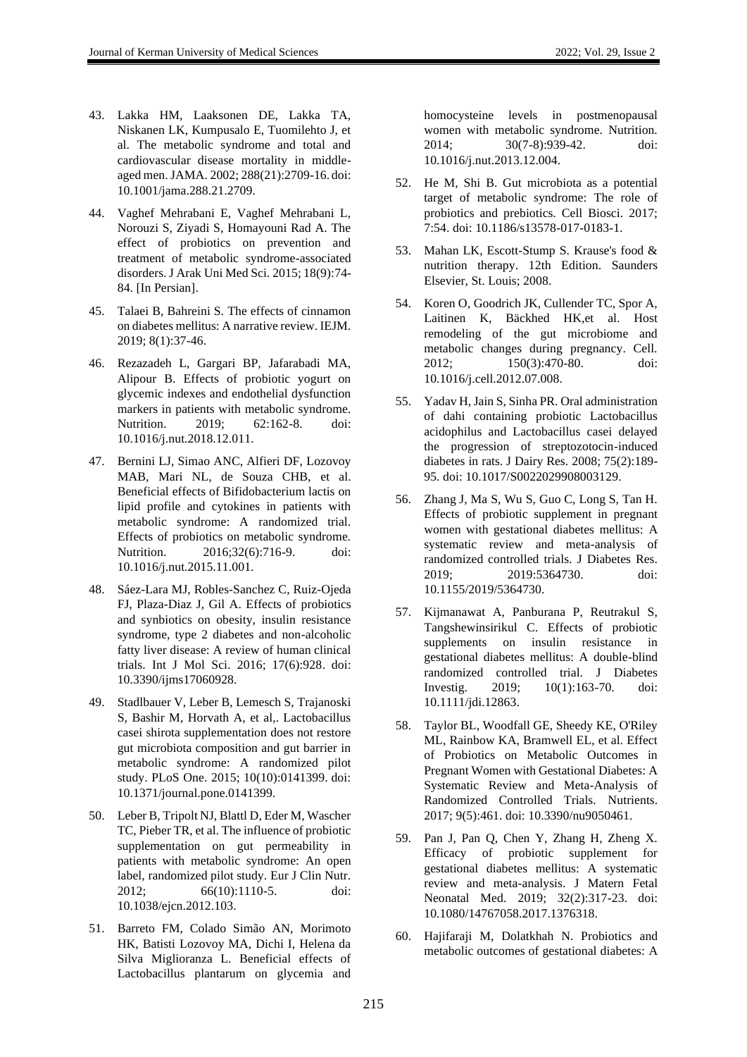- 43. Lakka HM, Laaksonen DE, Lakka TA, Niskanen LK, Kumpusalo E, Tuomilehto J, et al. The metabolic syndrome and total and cardiovascular disease mortality in middleaged men. JAMA. 2002; 288(21):2709-16. doi: 10.1001/jama.288.21.2709.
- 44. Vaghef Mehrabani E, Vaghef Mehrabani L, Norouzi S, Ziyadi S, Homayouni Rad A. The effect of probiotics on prevention and treatment of metabolic syndrome-associated disorders. J Arak Uni Med Sci. 2015; 18(9):74- 84. [In Persian].
- 45. Talaei B, Bahreini S. The effects of cinnamon on diabetes mellitus: A narrative review. IEJM. 2019; 8(1):37-46.
- 46. Rezazadeh L, Gargari BP, Jafarabadi MA, Alipour B. Effects of probiotic yogurt on glycemic indexes and endothelial dysfunction markers in patients with metabolic syndrome. Nutrition. 2019; 62:162-8. doi: 10.1016/j.nut.2018.12.011.
- 47. Bernini LJ, Simao ANC, Alfieri DF, Lozovoy MAB, Mari NL, de Souza CHB, et al. Beneficial effects of Bifidobacterium lactis on lipid profile and cytokines in patients with metabolic syndrome: A randomized trial. Effects of probiotics on metabolic syndrome. Nutrition. 2016;32(6):716-9. doi: 10.1016/j.nut.2015.11.001.
- 48. Sáez-Lara MJ, Robles-Sanchez C, Ruiz-Ojeda FJ, Plaza-Diaz J, Gil A. Effects of probiotics and synbiotics on obesity, insulin resistance syndrome, type 2 diabetes and non-alcoholic fatty liver disease: A review of human clinical trials. Int J Mol Sci. 2016; 17(6):928. doi: 10.3390/ijms17060928.
- 49. Stadlbauer V, Leber B, Lemesch S, Trajanoski S, Bashir M, Horvath A, et al,. Lactobacillus casei shirota supplementation does not restore gut microbiota composition and gut barrier in metabolic syndrome: A randomized pilot study. PLoS One. 2015; 10(10):0141399. doi: 10.1371/journal.pone.0141399.
- 50. Leber B, Tripolt NJ, Blattl D, Eder M, Wascher TC, Pieber TR, et al. The influence of probiotic supplementation on gut permeability in patients with metabolic syndrome: An open label, randomized pilot study. Eur J Clin Nutr. 2012; 66(10):1110-5. doi: 10.1038/ejcn.2012.103.
- 51. Barreto FM, Colado Simão AN, Morimoto HK, Batisti Lozovoy MA, Dichi I, Helena da Silva Miglioranza L. Beneficial effects of Lactobacillus plantarum on glycemia and

homocysteine levels in postmenopausal women with metabolic syndrome. Nutrition. 2014; 30(7-8):939-42. doi: 10.1016/j.nut.2013.12.004.

- 52. He M, Shi B. Gut microbiota as a potential target of metabolic syndrome: The role of probiotics and prebiotics. Cell Biosci. 2017; 7:54. doi: 10.1186/s13578-017-0183-1.
- 53. Mahan LK, Escott-Stump S. Krause's food & nutrition therapy. 12th Edition. Saunders Elsevier, St. Louis; 2008.
- 54. Koren O, Goodrich JK, Cullender TC, Spor A, Laitinen K, Bäckhed HK,et al. Host remodeling of the gut microbiome and metabolic changes during pregnancy. Cell. 2012; 150(3):470-80. doi: 10.1016/j.cell.2012.07.008.
- 55. Yadav H, Jain S, Sinha PR. Oral administration of dahi containing probiotic Lactobacillus acidophilus and Lactobacillus casei delayed the progression of streptozotocin-induced diabetes in rats. J Dairy Res. 2008; 75(2):189- 95. doi: 10.1017/S0022029908003129.
- 56. Zhang J, Ma S, Wu S, Guo C, Long S, Tan H. Effects of probiotic supplement in pregnant women with gestational diabetes mellitus: A systematic review and meta-analysis of randomized controlled trials. J Diabetes Res. 2019; 2019:5364730. doi: 10.1155/2019/5364730.
- 57. Kijmanawat A, Panburana P, Reutrakul S, Tangshewinsirikul C. Effects of probiotic supplements on insulin resistance in gestational diabetes mellitus: A double-blind randomized controlled trial. J Diabetes Investig. 2019; 10(1):163-70. doi: 10.1111/jdi.12863.
- 58. Taylor BL, Woodfall GE, Sheedy KE, O'Riley ML, Rainbow KA, Bramwell EL, et al. Effect of Probiotics on Metabolic Outcomes in Pregnant Women with Gestational Diabetes: A Systematic Review and Meta-Analysis of Randomized Controlled Trials. Nutrients. 2017; 9(5):461. doi: 10.3390/nu9050461.
- 59. Pan J, Pan Q, Chen Y, Zhang H, Zheng X. Efficacy of probiotic supplement for gestational diabetes mellitus: A systematic review and meta-analysis. J Matern Fetal Neonatal Med. 2019; 32(2):317-23. doi: 10.1080/14767058.2017.1376318.
- 60. Hajifaraji M, Dolatkhah N. Probiotics and metabolic outcomes of gestational diabetes: A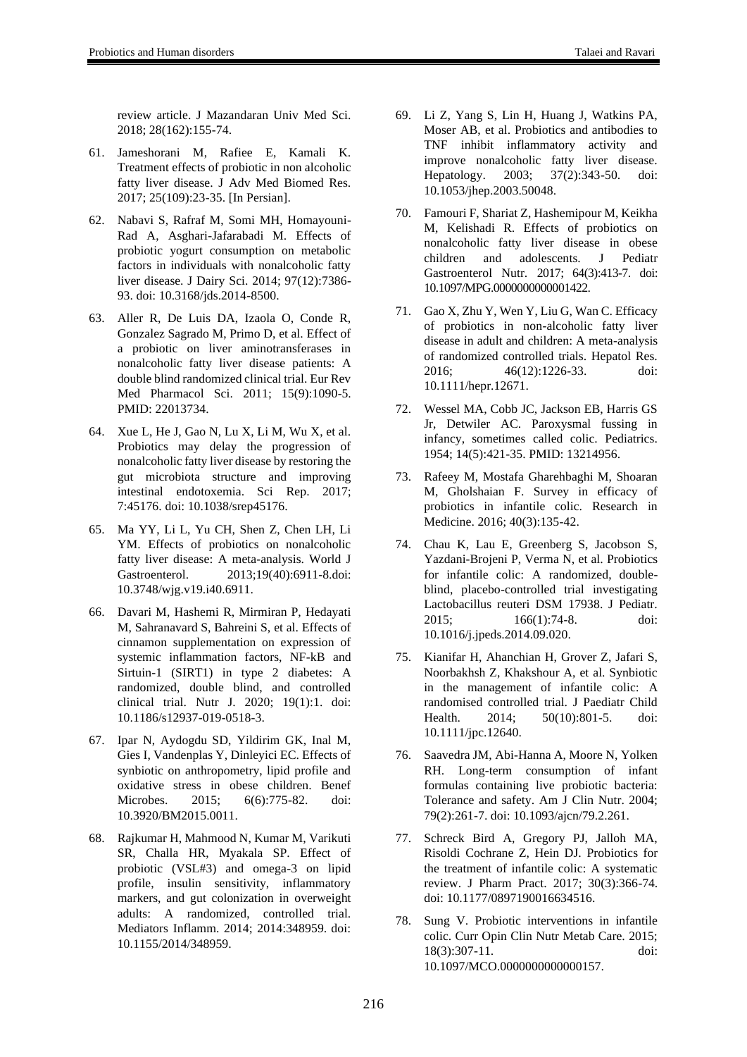- 61. Jameshorani M, Rafiee E, Kamali K. Treatment effects of probiotic in non alcoholic fatty liver disease. J Adv Med Biomed Res. 2017; 25(109):23-35. [In Persian].
- 62. Nabavi S, Rafraf M, Somi MH, Homayouni-Rad A, Asghari-Jafarabadi M. Effects of probiotic yogurt consumption on metabolic factors in individuals with nonalcoholic fatty liver disease. J Dairy Sci. 2014; 97(12):7386- 93. doi: 10.3168/jds.2014-8500.
- 63. Aller R, De Luis DA, Izaola O, Conde R, Gonzalez Sagrado M, Primo D, et al. Effect of a probiotic on liver aminotransferases in nonalcoholic fatty liver disease patients: A double blind randomized clinical trial. Eur Rev Med Pharmacol Sci. 2011; 15(9):1090-5. PMID: 22013734.
- 64. Xue L, He J, Gao N, Lu X, Li M, Wu X, et al. Probiotics may delay the progression of nonalcoholic fatty liver disease by restoring the gut microbiota structure and improving intestinal endotoxemia. Sci Rep. 2017; 7:45176. doi: 10.1038/srep45176.
- 65. Ma YY, Li L, Yu CH, Shen Z, Chen LH, Li YM. Effects of probiotics on nonalcoholic fatty liver disease: A meta-analysis. World J Gastroenterol. 2013;19(40):6911-8.doi: 10.3748/wjg.v19.i40.6911.
- 66. Davari M, Hashemi R, Mirmiran P, Hedayati M, Sahranavard S, Bahreini S, et al. Effects of cinnamon supplementation on expression of systemic inflammation factors, NF-kB and Sirtuin-1 (SIRT1) in type 2 diabetes: A randomized, double blind, and controlled clinical trial. Nutr J. 2020; 19(1):1. doi: 10.1186/s12937-019-0518-3.
- 67. Ipar N, Aydogdu SD, Yildirim GK, Inal M, Gies I, Vandenplas Y, Dinleyici EC. Effects of synbiotic on anthropometry, lipid profile and oxidative stress in obese children. Benef Microbes. 2015; 6(6):775-82. doi: 10.3920/BM2015.0011.
- 68. Rajkumar H, Mahmood N, Kumar M, Varikuti SR, Challa HR, Myakala SP. Effect of probiotic (VSL#3) and omega-3 on lipid profile, insulin sensitivity, inflammatory markers, and gut colonization in overweight adults: A randomized, controlled trial. Mediators Inflamm. 2014; 2014:348959. doi: 10.1155/2014/348959.
- 69. Li Z, Yang S, Lin H, Huang J, Watkins PA, Moser AB, et al. Probiotics and antibodies to TNF inhibit inflammatory activity and improve nonalcoholic fatty liver disease. Hepatology. 2003; 37(2):343-50. doi: 10.1053/jhep.2003.50048.
- 70. Famouri F, Shariat Z, Hashemipour M, Keikha M, Kelishadi R. Effects of probiotics on nonalcoholic fatty liver disease in obese children and adolescents. J Pediatr Gastroenterol Nutr. 2017; 64(3):413-7. doi: 10.1097/MPG.0000000000001422.
- 71. Gao X, Zhu Y, Wen Y, Liu G, Wan C. Efficacy of probiotics in non-alcoholic fatty liver disease in adult and children: A meta-analysis of randomized controlled trials. Hepatol Res. 2016; 46(12):1226-33. doi: 10.1111/hepr.12671.
- 72. Wessel MA, Cobb JC, Jackson EB, Harris GS Jr, Detwiler AC. Paroxysmal fussing in infancy, sometimes called colic. Pediatrics. 1954; 14(5):421-35. PMID: 13214956.
- 73. Rafeey M, Mostafa Gharehbaghi M, Shoaran M, Gholshaian F. Survey in efficacy of probiotics in infantile colic. Research in Medicine. 2016; 40(3):135-42.
- 74. Chau K, Lau E, Greenberg S, Jacobson S, Yazdani-Brojeni P, Verma N, et al. Probiotics for infantile colic: A randomized, doubleblind, placebo-controlled trial investigating Lactobacillus reuteri DSM 17938. J Pediatr. 2015; 166(1):74-8. doi: 10.1016/j.jpeds.2014.09.020.
- 75. Kianifar H, Ahanchian H, Grover Z, Jafari S, Noorbakhsh Z, Khakshour A, et al. Synbiotic in the management of infantile colic: A randomised controlled trial. J Paediatr Child Health. 2014; 50(10):801-5. doi: 10.1111/jpc.12640.
- 76. Saavedra JM, Abi-Hanna A, Moore N, Yolken RH. Long-term consumption of infant formulas containing live probiotic bacteria: Tolerance and safety. Am J Clin Nutr. 2004; 79(2):261-7. doi: 10.1093/ajcn/79.2.261.
- 77. Schreck Bird A, Gregory PJ, Jalloh MA, Risoldi Cochrane Z, Hein DJ. Probiotics for the treatment of infantile colic: A systematic review. J Pharm Pract. 2017; 30(3):366-74. doi: 10.1177/0897190016634516.
- 78. Sung V. Probiotic interventions in infantile colic. Curr Opin Clin Nutr Metab Care. 2015; 18(3):307-11. doi: 10.1097/MCO.0000000000000157.